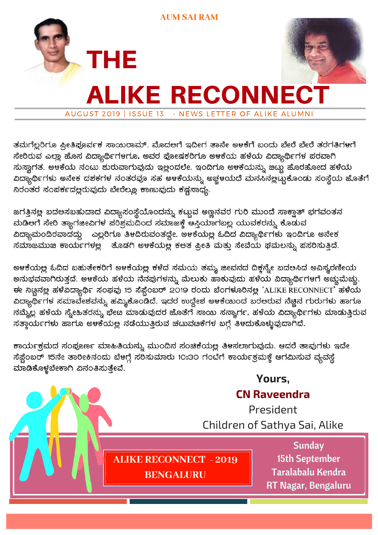

ತಮಗೆಲ್ಲರಿಗೂ ಪ್ರೀತಿಪೂರ್ವಕ ಸಾಯರಾಮ್. ಮೊದಆಗೆ ಇದೀಗ ತಾನೇ ಅಳಕೆಗೆ ಬಂದು ಬೇರೆ ಬೇರೆ ತರಗತಿಗಳಗೆ ಸೇರಿರುವ ಎಲ್ಲಾ ಹೊಸ ವಿದ್ಯಾರ್ಥಿಗಳಗೂ, ಅವರ ಪೋಷಕರಿಗೂ ಅಳಕೆಯ ಹಳೆಯ ವಿದ್ಯಾರ್ಥಿಗಳ ಪರವಾಗಿ ಸುಸ್ವಾಗತ. ಅಳಕೆಯ ನಂಟು ಶುರುವಾಗುವುದು ಇಲ್ಲಂದಲೇ. ಇಂದಿಗೂ ಅಳಕೆಯನ್ನು ಚಿಟ್ಟು ಹೊರಹೋದ ಹಳೆಯ ವಿದ್ಯಾರ್ಥಿಗಳು ಅನೇಕ ದಶಕಗಳ ನಂತರವೂ ಸಹ ಅಳಕೆಯನ್ನು ಅಚ್ಚಳಯದೆ ಮನಸಿನಲ್ಲಛ್ವುಕೊಂಡು ಸಂಸ್ಥೆಯ ಜೊತೆಗೆ ನಿರಂತರ ಸಂಪರ್ಕದಲ್ಲರುವುದು ಬೇರೆಲ್ಲೂ ಕಾಣುವುದು ಕಷ್ಟಸಾಧ್ಯ.

ಜಗತ್ತಿನಲ್ಲ ಬದಅಸಬಹುದಾದ ವಿದ್ಯಾಸಂಸ್ಥೆಯೊಂದನ್ನು ಕಟ್ಟುವ ಅಣ್ಣನವರ ಗುರಿ ಮುಂದೆ ಸಾಕ್ವಾತ್ ಭಗವಂತನ ಮಡಿಆಗೆ ಸೇರಿ ತ್ಯಾಗಜೀವಿಗಳ ಪರಿಶ್ರಮದಿಂದ ಸಮಾಜಕ್ಕೆ ಆಸ್ತಿಯಾಗಬಲ್ಲ ಯುವಕರನ್ನು ಕೊಡುವ ವಿದ್ಯಾಮಂದಿರವಾದದ್ದು ಎಲ್ಲರಿಗೂ ತಿಳದಿರುವಂತದ್ದೇ. ಅಳಕೆಯಲ್ಲ ಓದಿದ ವಿದ್ಯಾರ್ಥಿಗಳು ಇಂದಿಗೂ ಅನೇಕ ಸಮಾಜಮುಖ ಕಾರ್ಯಗಳಲ್ಲ \_ ತೊಡಗಿ ಅಳಕೆಯಲ್ಲ ಕಲತ ಪ್ರೀತಿ ಮತ್ತು ಸೇವೆಯ ಫಮಲನ್ನು ಪಸರಿಸುತ್ತಿದೆ.

ಅಳಕೆಯಲ್ಲ ಓದಿದ ಬಹುತೇಕರಿಗೆ ಅಳಕೆಯಲ್ಲ ಕಳೆದ ಸಮಯ ತಮ್ಮ ಜೀವನದ ದಿಕ್ತನ್ನೇ ಬದಲಸಿದ ಅವಿಸ್ಥರಣೀಯ ಅನುಭವವಾಗಿರುತ್ತದೆ. ಅಳಕೆಯ ಹಳೆಯ ನೆನಪುಗಳನ್ನು ಮೆಲುಕು ಹಾಕುವುದು ಹಳೆಯ ವಿದ್ಯಾರ್ಥಿಗಳಗೆ ಅಚ್ಚುಮೆಚ್ಚು. ಈ ನಿಟ್ಟಿನಲ್ಲಿ ಹಳೆವಿದ್ಯಾರ್ಥಿ ಸಂಘವು 15 ಸೆಪ್ಟೆಂಬರ್ 2019 ರಂದು ಬೆಂಗಳೂರಿನಲ್ಲಿ 'ALIKE RECONNECT' ಹಳೆಯ ವಿದ್ಯಾರ್ಥಿಗಳ ಸಮಾವೇಶವನ್ನು ಹಮ್ಮಿಕೊಂಡಿದೆ. ಇದರ ಉದ್ದೇಶ ಅಳಕೆಯಿಂದ ಬರಆರುವ ನೆಚ್ಚಿನ ಗುರುಗಳು ಹಾಗೂ ನಮ್ಮೆಲ್ಲ ಹಳೆಯ ಸ್ನೇಹಿತರನ್ನು ಭೇಟ ಮಾಡುವುದರ ಜೊತೆಗೆ ಸಾಯಿ ಸನ್ಯಾರ್ಗ, ಹಳೆಯ ವಿದ್ಯಾರ್ಥಿಗಳು ಮಾಡುತ್ತಿರುವ ಸತ್ತಾರ್ಯಗಳು ಹಾಗೂ ಅಳಕೆಯಲ್ಲ ನಡೆಯುತ್ತಿರುವ ಚಟುವಟಕೆಗಳ ಬಗ್ಗೆ ತಿಳದುಕೊಳ್ಳುವುದಾಗಿದೆ.

ಕಾರ್ಯಕ್ರಮದ ಸಂಪೂರ್ಣ ಮಾಹಿತಿಯನ್ನು ಮುಂದಿನ ಸಂಚಿಕೆಯಲ್ಲ ತಿಳಸಲಾಗುವುದು. ಆದರೆ ತಾವುಗಳು ಇದೇ ಸೆಫ್ಷೆಂಬರ್ 15ನೇ ತಾರೀಕಿನಂದು ಬೆಳಗ್ಗೆ ಸರಿಸುಮಾರು 10:30 ಗಂಬೆಗೆ ಕಾರ್ಯಕ್ರಮಕ್ಕೆ ಆಗಮಿಸುವ ವ್ಯವಸ್ಥೆ ಮಾಡಿಕೊಳ್ಳಬೇಕಾಗಿ ವಿನಂತಿಸುತ್ತೇವೆ.

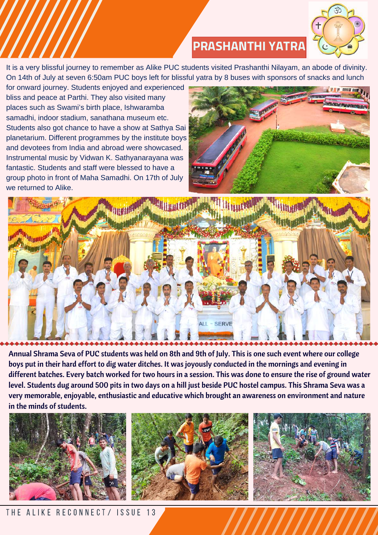

# **PRASHANTHI YATRA**

It is a very blissful journey to remember as Alike PUC students visited Prashanthi Nilayam, an abode of divinity. On 14th of July at seven 6:50am PUC boys left for blissful yatra by 8 buses with sponsors of snacks and lunch

for onward journey. Students enjoyed and experienced bliss and peace at Parthi. They also visited many places such as Swami's birth place, Ishwaramba samadhi, indoor stadium, sanathana museum etc. Students also got chance to have a show at Sathya Sai planetarium. Different programmes by the institute boys and devotees from India and abroad were showcased. Instrumental music by Vidwan K. Sathyanarayana was fantastic. Students and staff were blessed to have a group photo in front of Maha Samadhi. On 17th of July we returned to Alike.





Annual Shrama Seva of PUC students was held on 8th and 9th of July. This is one such event where our college boys put in their hard effort to dig water ditches. It was joyously conducted in the mornings and evening in different batches. Every batch worked for two hours in a session. This was done to ensure the rise of ground water level. Students dug around 500 pits in two days on a hill just beside PUC hostel campus. This Shrama Seva was a very memorable, enjoyable, enthusiastic and educative which brought an awareness on environment and nature in the minds of students.







THE ALIKE RECONNECT/ ISSUE 13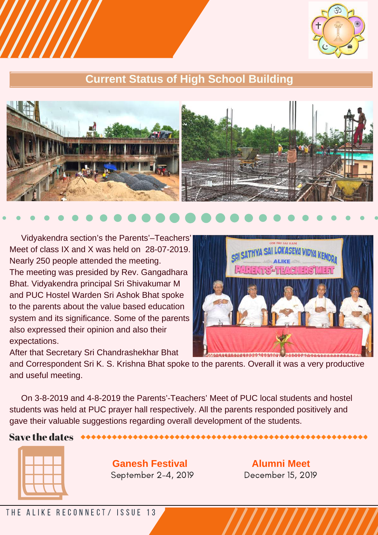

## **Current Status of High School Building**



Vidyakendra section's the Parents'–Teachers' Meet of class IX and X was held on 28-07-2019. Nearly 250 people attended the meeting. The meeting was presided by Rev. Gangadhara Bhat. Vidyakendra principal Sri Shivakumar M and PUC Hostel Warden Sri Ashok Bhat spoke to the parents about the value based education system and its significance. Some of the parents also expressed their opinion and also their expectations.

**VA SAI LOKASEVA VIDVA I** 114497704499999

After that Secretary Sri Chandrashekhar Bhat and Correspondent Sri K. S. Krishna Bhat spoke to the parents. Overall it was a very productive and useful meeting.

On 3-8-2019 and 4-8-2019 the Parents'-Teachers' Meet of PUC local students and hostel students was held at PUC prayer hall respectively. All the parents responded positively and gave their valuable suggestions regarding overall development of the students.

### Save the dates



**Ganesh Festival** September 2-4, 2019

**Alumni Meet** December 15, 2019